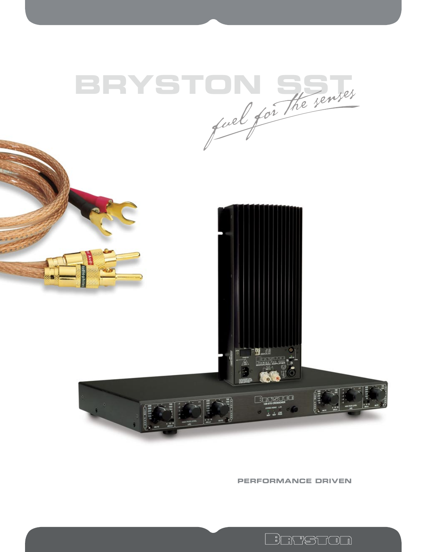





**PERFORMANCE DRIVEN**

<u>invetion</u>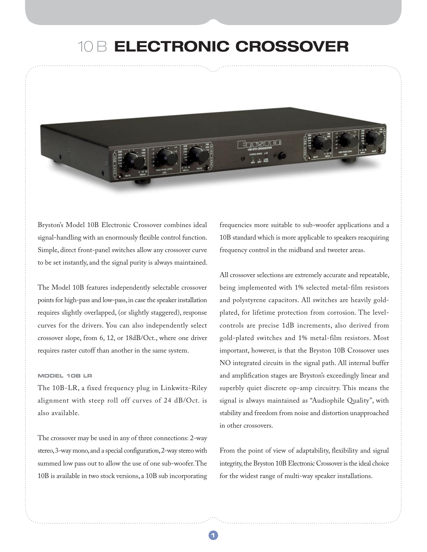### 10 B **ELECTRONIC CROSSOVER**

Bryston's Model 10B Electronic Crossover combines ideal signal-handling with an enormously flexible control function. Simple, direct front-panel switches allow any crossover curve to be set instantly, and the signal purity is always maintained.

The Model 10B features independently selectable crossover points for high-pass and low-pass, in case the speaker installation requires slightly overlapped, (or slightly staggered), response curves for the drivers. You can also independently select crossover slope, from 6, 12, or 18dB/Oct., where one driver requires raster cutoff than another in the same system.

### **MODEL 10B LR**

The 10B-LR, a fixed frequency plug in Linkwitz-Riley alignment with steep roll off curves of 24 dB/Oct. is also available.

The crossover may be used in any of three connections: 2-way stereo, 3-way mono, and a special configuration, 2-way stereo with summed low pass out to allow the use of one sub-woofer. The 10B is available in two stock versions, a 10B sub incorporating frequencies more suitable to sub-woofer applications and a 10B standard which is more applicable to speakers reacquiring frequency control in the midband and tweeter areas.

All crossover selections are extremely accurate and repeatable, being implemented with 1% selected metal-film resistors and polystyrene capacitors. All switches are heavily goldplated, for lifetime protection from corrosion. The levelcontrols are precise 1dB increments, also derived from gold-plated switches and 1% metal-film resistors. Most important, however, is that the Bryston 10B Crossover uses NO integrated circuits in the signal path. All internal buffer and amplification stages are Bryston's exceedingly linear and superbly quiet discrete op-amp circuitry. This means the signal is always maintained as "Audiophile Quality", with stability and freedom from noise and distortion unapproached in other crossovers.

From the point of view of adaptability, flexibility and signal integrity, the Bryston 10B Electronic Crossover is the ideal choice for the widest range of multi-way speaker installations.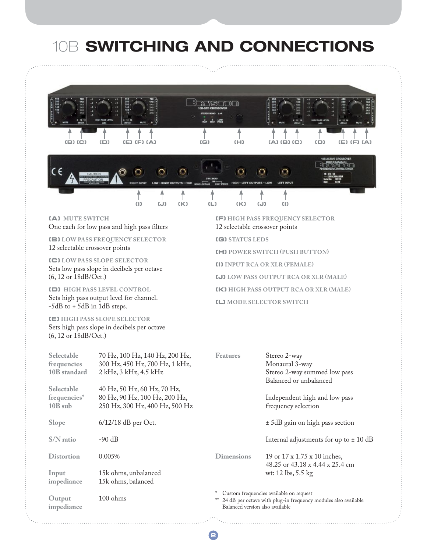# 10B **SWITCHING AND CONNECTIONS**



**2**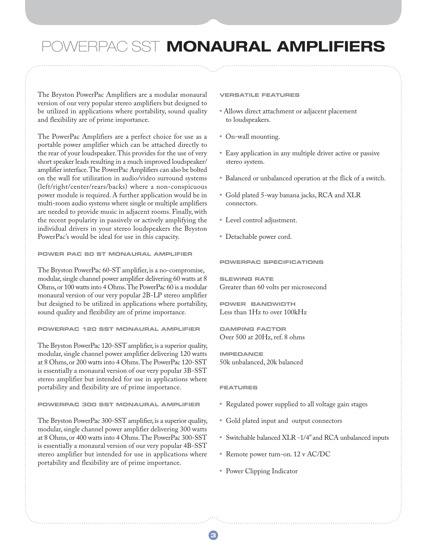### POWERPAC SST **MONAURAL AMPLIFIERS**

The Bryston PowerPac Amplifiers are a modular monaural version of our very popular stereo amplifiers but designed to be utilized in applications where portability, sound quality and flexibility are of prime importance.

The PowerPac Amplifiers are a perfect choice for use as a portable power amplifier which can be attached directly to the rear of your loudspeaker. This provides for the use of very short speaker leads resulting in a much improved loudspeaker/ amplifier interface. The PowerPac Amplifiers can also be bolted on the wall for utilization in audio/video surround systems (left/right/center/rears/backs) where a non-conspicuous power module is required. A further application would be in multi-room audio systems where single or multiple amplifiers are needed to provide music in adjacent rooms. Finally, with the recent popularity in passively or actively amplifying the individual drivers in your stereo loudspeakers the Bryston PowerPac's would be ideal for use in this capacity.

### **POWER PAC 60 ST MONAURAL AMPLIFIER**

The Bryston PowerPac 60-ST amplifier, is a no-compromise, modular, single channel power amplifier delivering 60 watts at 8 Ohms, or 100 watts into 4 Ohms. The PowerPac 60 is a modular monaural version of our very popular 2B-LP stereo amplifier but designed to be utilized in applications where portability, sound quality and flexibility are of prime importance.

### **POWERPAC 120 SST MONAURAL AMPLIFIER**

The Bryston PowerPac 120-SST amplifier, is a superior quality, modular, single channel power amplifier delivering 120 watts at 8 Ohms, or 200 watts into 4 Ohms. The PowerPac 120-SST is essentially a monaural version of our very popular 3B-SST stereo amplifier but intended for use in applications where portability and flexibility are of prime importance.

### **POWERPAC 300 SST MONAURAL AMPLIFIER**

The Bryston PowerPac 300-SST amplifier, is a superior quality, modular, single channel power amplifier delivering 300 watts at 8 Ohms, or 400 watts into 4 Ohms. The PowerPac 300-SST is essentially a monaural version of our very popular 4B-SST stereo amplifier but intended for use in applications where portability and flexibility are of prime importance.

### **VERSATILE FEATURES**

- **•** Allows direct attachment or adjacent placement to loudspeakers.
- **•** On-wall mounting.
- **•** Easy application in any multiple driver active or passive stereo system.
- **•** Balanced or unbalanced operation at the flick of a switch.
- **•** Gold plated 5-way banana jacks, RCA and XLR connectors.
- **•** Level control adjustment.
- **•** Detachable power cord.

### **POWERPAC SPECIFICATIONS**

**SLEWING RATE**  Greater than 60 volts per microsecond

**POWER BANDWIDTH**  Less than 1Hz to over 100kHz

**DAMPING FACTOR**  Over 500 at 20Hz, ref. 8 ohms

**IMPEDANCE**  50k unbalanced, 20k balanced

#### **FEATURES**

**32**

- **•** Regulated power supplied to all voltage gain stages
- **•** Gold plated input and output connectors
- **•** Switchable balanced XLR -1/4" and RCA unbalanced inputs
- **•** Remote power turn-on. 12 v AC/DC
- **•** Power Clipping Indicator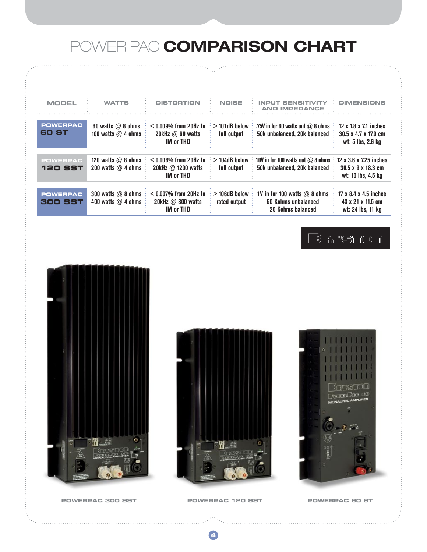## POWER PAC **COMPARISON CHART**

| <b>MODEL</b>                      | <b>WATTS</b>                                 | <b>DISTORTION</b>                                                       | <b>NOISE</b>                    | <b>INPUT SENSITIVITY</b><br><b>AND IMPEDANCE</b>                           | <b>DIMENSIONS</b>                                                  |
|-----------------------------------|----------------------------------------------|-------------------------------------------------------------------------|---------------------------------|----------------------------------------------------------------------------|--------------------------------------------------------------------|
| <b>POWERPAC</b><br>60 ST          | 60 watts $@$ 8 ohms<br>100 watts $@$ 4 ohms  | $<$ 0.009% from 20Hz to<br>20kHz $@$ 60 watts<br><b>IM or THD</b>       | $>$ 101dB below<br>full output  | .75V in for 60 watts out $@$ 8 ohms<br>50k unbalanced, 20k balanced        | 12 x 1.8 x 7.1 inches<br>30.5 x 4.7 x 17.9 cm<br>wt: 5 lbs, 2.6 kg |
| <b>POWERPAC</b><br><b>120 SST</b> | 120 watts $@$ 8 ohms<br>200 watts $@$ 4 ohms | $<$ 0.008% from 20Hz to<br>20kHz $@$ 1200 watts<br><b>IM or THD</b>     | $>$ 104dB below<br>full output  | 1.0V in for 100 watts out $@$ 8 ohms<br>50k unbalanced, 20k balanced       | 12 x 3.6 x 7.25 inches<br>30.5 x 9 x 18.3 cm<br>wt: 10 lbs, 4.5 kg |
| <b>POWERPAC</b><br><b>300 SST</b> | 300 watts $@$ 8 ohms<br>400 watts $@$ 4 ohms | $<$ 0.007% from 20Hz to<br>20kHz $\varpi$ 300 watts<br><b>IM or THD</b> | $>$ 106dB below<br>rated output | 1V in for 100 watts $@$ 8 ohms<br>50 Kohms unbalanced<br>20 Kohms balanced | 17 x 8.4 x 4.5 inches<br>43 x 21 x 11.5 cm<br>wt: 24 lbs, 11 kg    |

### **BENSTON**





ה ה n GO



**POWERPAC 300 SST POWERPAC 120 SST**

**4**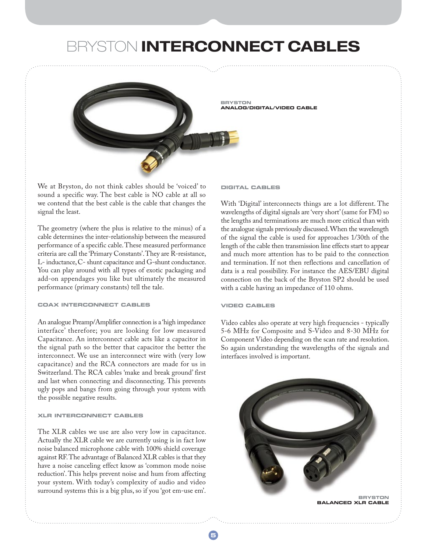### BRYSTON **INTERCONNECT CABLES**



We at Bryston, do not think cables should be 'voiced' to sound a specific way. The best cable is NO cable at all so we contend that the best cable is the cable that changes the signal the least.

The geometry (where the plus is relative to the minus) of a cable determines the inter-relationship between the measured performance of a specific cable. These measured performance criteria are call the 'Primary Constants'. They are R-resistance, L- inductance, C- shunt capacitance and G-shunt conductance. You can play around with all types of exotic packaging and add-on appendages you like but ultimately the measured performance (primary constants) tell the tale.

### **COAX INTERCONNECT CABLES**

An analogue Preamp/Amplifier connection is a 'high impedance interface' therefore; you are looking for low measured Capacitance. An interconnect cable acts like a capacitor in the signal path so the better that capacitor the better the interconnect. We use an interconnect wire with (very low capacitance) and the RCA connectors are made for us in Switzerland. The RCA cables 'make and break ground' first and last when connecting and disconnecting. This prevents ugly pops and bangs from going through your system with the possible negative results.

### **XLR INTERCONNECT CABLES**

The XLR cables we use are also very low in capacitance. Actually the XLR cable we are currently using is in fact low noise balanced microphone cable with 100% shield coverage against RF. The advantage of Balanced XLR cables is that they have a noise canceling effect know as 'common mode noise reduction'. This helps prevent noise and hum from affecting your system. With today's complexity of audio and video surround systems this is a big plus, so if you 'got em-use em'.

#### **DIGITAL CABLES**

With 'Digital' interconnects things are a lot different. The wavelengths of digital signals are 'very short' (same for FM) so the lengths and terminations are much more critical than with the analogue signals previously discussed. When the wavelength of the signal the cable is used for approaches 1/30th of the length of the cable then transmission line effects start to appear and much more attention has to be paid to the connection and termination. If not then reflections and cancellation of data is a real possibility. For instance the AES/EBU digital connection on the back of the Bryston SP2 should be used with a cable having an impedance of 110 ohms.

#### **VIDEO CABLES**

Video cables also operate at very high frequencies - typically 5-6 MHz for Composite and S-Video and 8-30 MHz for Component Video depending on the scan rate and resolution. So again understanding the wavelengths of the signals and interfaces involved is important.

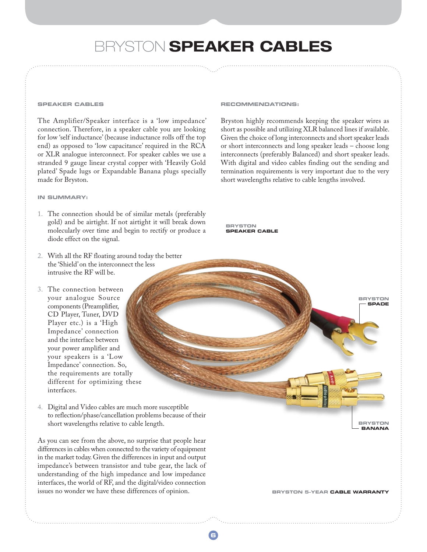### BRYSTON **SPEAKER CABLES**

**6I**

#### **SPEAKER CABLES**

The Amplifier/Speaker interface is a 'low impedance' connection. Therefore, in a speaker cable you are looking for low 'self inductance' (because inductance rolls off the top end) as opposed to 'low capacitance' required in the RCA or XLR analogue interconnect. For speaker cables we use a stranded 9 gauge linear crystal copper with 'Heavily Gold plated' Spade lugs or Expandable Banana plugs specially made for Bryston.

### **IN SUMMARY:**

- 1. The connection should be of similar metals (preferably gold) and be airtight. If not airtight it will break down molecularly over time and begin to rectify or produce a diode effect on the signal.
- 2. With all the RF floating around today the better the 'Shield' on the interconnect the less intrusive the RF will be.
- 3. The connection between your analogue Source components (Preamplifier, CD Player, Tuner, DVD Player etc.) is a 'High Impedance' connection and the interface between your power amplifier and your speakers is a 'Low Impedance' connection. So, the requirements are totally different for optimizing these interfaces.

4. Digital and Video cables are much more susceptible to reflection/phase/cancellation problems because of their short wavelengths relative to cable length.

As you can see from the above, no surprise that people hear differences in cables when connected to the variety of equipment in the market today. Given the differences in input and output impedance's between transistor and tube gear, the lack of understanding of the high impedance and low impedance interfaces, the world of RF, and the digital/video connection issues no wonder we have these differences of opinion.

#### **RECOMMENDATIONS:**

Bryston highly recommends keeping the speaker wires as short as possible and utilizing XLR balanced lines if available. Given the choice of long interconnects and short speaker leads or short interconnects and long speaker leads – choose long interconnects (preferably Balanced) and short speaker leads. With digital and video cables finding out the sending and termination requirements is very important due to the very short wavelengths relative to cable lengths involved.



**BRYSTON 5-YEAR CABLE WARRANT** 

**BRYSTON SPADE**

**BRYSTON BANANA**